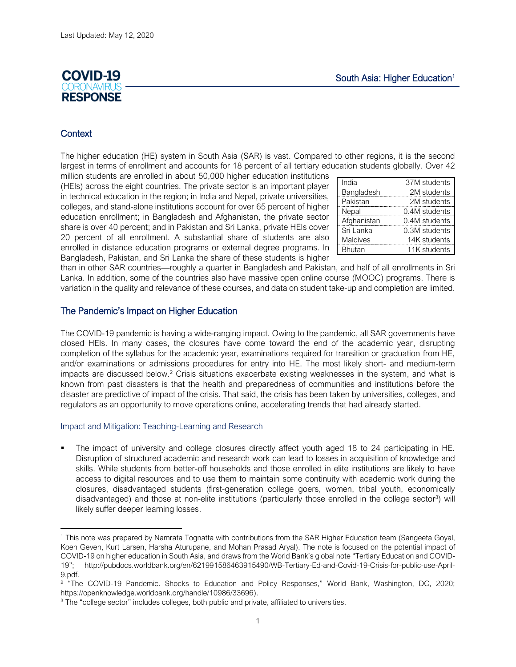# **COVID-19 RESPONSE**

## **Context**

The higher education (HE) system in South Asia (SAR) is vast. Compared to other regions, it is the second largest in terms of enrollment and accounts for 18 percent of all tertiary education students globally. Over 42

million students are enrolled in about 50,000 higher education institutions (HEIs) across the eight countries. The private sector is an important player in technical education in the region; in India and Nepal, private universities, colleges, and stand-alone institutions account for over 65 percent of higher education enrollment; in Bangladesh and Afghanistan, the private sector share is over 40 percent; and in Pakistan and Sri Lanka, private HEIs cover 20 percent of all enrollment. A substantial share of students are also enrolled in distance education programs or external degree programs. In Bangladesh, Pakistan, and Sri Lanka the share of these students is higher

| India         | 37M students  |
|---------------|---------------|
| Bangladesh    | 2M students   |
| Pakistan      | 2M students   |
| Nepal         | 0.4M students |
| Afghanistan   | 0.4M students |
| Sri Lanka     | 0.3M students |
| Maldives      | 14K students  |
| <b>Bhutan</b> | 11K students  |

than in other SAR countries—roughly a quarter in Bangladesh and Pakistan, and half of all enrollments in Sri Lanka. In addition, some of the countries also have massive open online course (MOOC) programs. There is variation in the quality and relevance of these courses, and data on student take-up and completion are limited.

## The Pandemic's Impact on Higher Education

The COVID-19 pandemic is having a wide-ranging impact. Owing to the pandemic, all SAR governments have closed HEIs. In many cases, the closures have come toward the end of the academic year, disrupting completion of the syllabus for the academic year, examinations required for transition or graduation from HE, and/or examinations or admissions procedures for entry into HE. The most likely short- and medium-term impacts are discussed below.<sup>2</sup> Crisis situations exacerbate existing weaknesses in the system, and what is known from past disasters is that the health and preparedness of communities and institutions before the disaster are predictive of impact of the crisis. That said, the crisis has been taken by universities, colleges, and regulators as an opportunity to move operations online, accelerating trends that had already started.

#### Impact and Mitigation: Teaching-Learning and Research

The impact of university and college closures directly affect youth aged 18 to 24 participating in HE. Disruption of structured academic and research work can lead to losses in acquisition of knowledge and skills. While students from better-off households and those enrolled in elite institutions are likely to have access to digital resources and to use them to maintain some continuity with academic work during the closures, disadvantaged students (first-generation college goers, women, tribal youth, economically disadvantaged) and those at non-elite institutions (particularly those enrolled in the college sector<sup>3</sup>) will likely suffer deeper learning losses.

<sup>1</sup> This note was prepared by Namrata Tognatta with contributions from the SAR Higher Education team (Sangeeta Goyal, Koen Geven, Kurt Larsen, Harsha Aturupane, and Mohan Prasad Aryal). The note is focused on the potential impact of COVID-19 on higher education in South Asia, and draws from the World Bank's global note "Tertiary Education and COVID-19"; [http://pubdocs.worldbank.org/en/621991586463915490/WB-Tertiary-Ed-and-Covid-19-Crisis-for-public-use-April-](http://pubdocs.worldbank.org/en/621991586463915490/WB-Tertiary-Ed-and-Covid-19-Crisis-for-public-use-April-9.pdf)[9.pdf.](http://pubdocs.worldbank.org/en/621991586463915490/WB-Tertiary-Ed-and-Covid-19-Crisis-for-public-use-April-9.pdf)

<sup>&</sup>lt;sup>2</sup> "The COVID-19 Pandemic. Shocks to Education and Policy Responses," World Bank, Washington, DC, 2020; [https://openknowledge.worldbank.org/handle/10986/33696\)](https://openknowledge.worldbank.org/handle/10986/33696).

<sup>&</sup>lt;sup>3</sup> The "college sector" includes colleges, both public and private, affiliated to universities.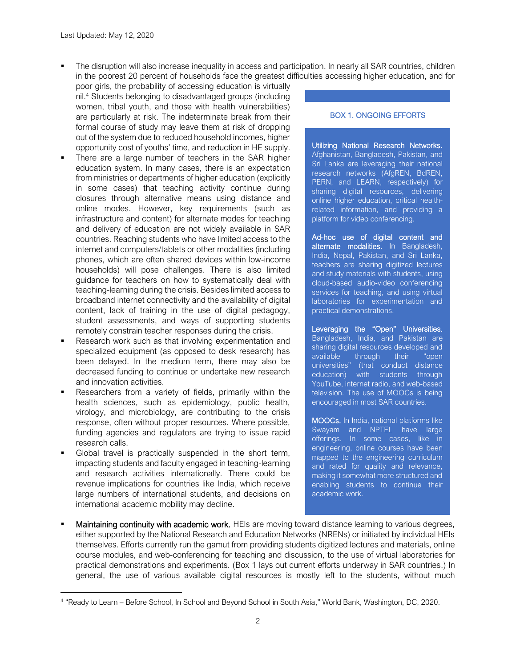The disruption will also increase inequality in access and participation. In nearly all SAR countries, children in the poorest 20 percent of households face the greatest difficulties accessing higher education, and for

- poor girls, the probability of accessing education is virtually nil. <sup>4</sup> Students belonging to disadvantaged groups (including women, tribal youth, and those with health vulnerabilities) are particularly at risk. The indeterminate break from their formal course of study may leave them at risk of dropping out of the system due to reduced household incomes, higher opportunity cost of youths' time, and reduction in HE supply.
- There are a large number of teachers in the SAR higher education system. In many cases, there is an expectation from ministries or departments of higher education (explicitly in some cases) that teaching activity continue during closures through alternative means using distance and online modes. However, key requirements (such as infrastructure and content) for alternate modes for teaching and delivery of education are not widely available in SAR countries. Reaching students who have limited access to the internet and computers/tablets or other modalities (including phones, which are often shared devices within low-income households) will pose challenges. There is also limited guidance for teachers on how to systematically deal with teaching-learning during the crisis. Besides limited access to broadband internet connectivity and the availability of digital content, lack of training in the use of digital pedagogy, student assessments, and ways of supporting students remotely constrain teacher responses during the crisis.
- Research work such as that involving experimentation and specialized equipment (as opposed to desk research) has been delayed. In the medium term, there may also be decreased funding to continue or undertake new research and innovation activities.
- Researchers from a variety of fields, primarily within the health sciences, such as epidemiology, public health, virology, and microbiology, are contributing to the crisis response, often without proper resources. Where possible, funding agencies and regulators are trying to issue rapid research calls.
- Global travel is practically suspended in the short term, impacting students and faculty engaged in teaching-learning and research activities internationally. There could be revenue implications for countries like India, which receive large numbers of international students, and decisions on international academic mobility may decline.

#### BOX 1. ONGOING EFFORTS

Utilizing National Research Networks. Afghanistan, Bangladesh, Pakistan, and Sri Lanka are leveraging their national research networks (AfgREN, BdREN, PERN, and LEARN, respectively) for sharing digital resources, delivering online higher education, critical healthrelated information, and providing a platform for video conferencing.

Ad-hoc use of digital content and alternate modalities. In Bangladesh, India, Nepal, Pakistan, and Sri Lanka, teachers are sharing digitized lectures and study materials with students, using cloud-based audio-video conferencing services for teaching, and using virtual laboratories for experimentation and practical demonstrations.

Leveraging the "Open" Universities. Bangladesh, India, and Pakistan are sharing digital resources developed and available through their "open universities" (that conduct distance education) with students through YouTube, internet radio, and web-based television. The use of MOOCs is being encouraged in most SAR countries.

MOOCs. In India, national platforms like Swayam and NPTEL have large offerings. In some cases, like in engineering, online courses have been mapped to the engineering curriculum and rated for quality and relevance, making it somewhat more structured and enabling students to continue their academic work.

**Maintaining continuity with academic work.** HEIs are moving toward distance learning to various degrees, either supported by the National Research and Education Networks (NRENs) or initiated by individual HEIs themselves. Efforts currently run the gamut from providing students digitized lectures and materials, online course modules, and web-conferencing for teaching and discussion, to the use of virtual laboratories for practical demonstrations and experiments. (Box 1 lays out current efforts underway in SAR countries.) In general, the use of various available digital resources is mostly left to the students, without much

<sup>4</sup> "Ready to Learn – Before School, In School and Beyond School in South Asia," World Bank, Washington, DC, 2020.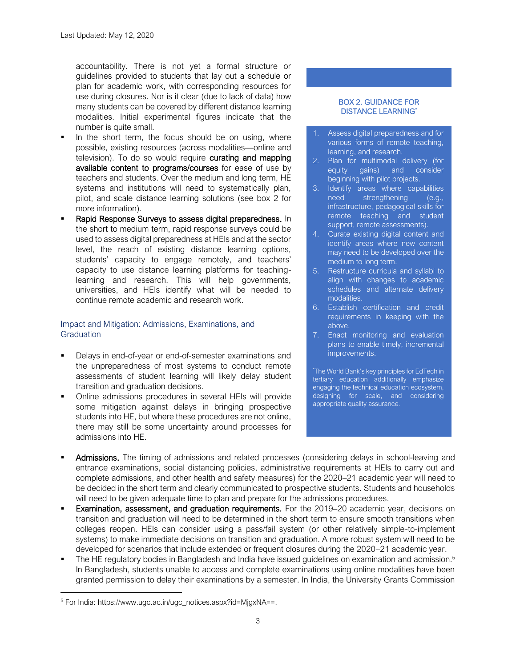accountability. There is not yet a formal structure or guidelines provided to students that lay out a schedule or plan for academic work, with corresponding resources for use during closures. Nor is it clear (due to lack of data) how many students can be covered by different distance learning modalities. Initial experimental figures indicate that the number is quite small.

- In the short term, the focus should be on using, where possible, existing resources (across modalities—online and television). To do so would require **curating and mapping** available content to programs/courses for ease of use by teachers and students. Over the medium and long term, HE systems and institutions will need to systematically plan, pilot, and scale distance learning solutions (see box 2 for more information).
- Rapid Response Surveys to assess digital preparedness. In the short to medium term, rapid response surveys could be used to assess digital preparedness at HEIs and at the sector level, the reach of existing distance learning options, students' capacity to engage remotely, and teachers' capacity to use distance learning platforms for teachinglearning and research. This will help governments, universities, and HEIs identify what will be needed to continue remote academic and research work.

## Impact and Mitigation: Admissions, Examinations, and **Graduation**

- Delays in end-of-year or end-of-semester examinations and the unpreparedness of most systems to conduct remote assessments of student learning will likely delay student transition and graduation decisions.
- Online admissions procedures in several HEIs will provide some mitigation against delays in bringing prospective students into HE, but where these procedures are not online, there may still be some uncertainty around processes for admissions into HE.

#### BOX 2. GUIDANCE FOR DISTANCE LEARNING\*

- 1. Assess digital preparedness and for various forms of remote teaching, learning, and research.
- 2. Plan for multimodal delivery (for equity gains) and consider beginning with pilot projects.
- 3. Identify areas where capabilities need strengthening (e.g., infrastructure, pedagogical skills for remote teaching and student support, remote assessments).
- 4. Curate existing digital content and identify areas where new content may need to be developed over the medium to long term.
- 5. Restructure curricula and syllabi to align with changes to academic schedules and alternate delivery modalities.
- 6. Establish certification and credit requirements in keeping with the above.
- 7. Enact monitoring and evaluation plans to enable timely, incremental improvements.

\*The World Bank's key principles for EdTech in tertiary education additionally emphasize engaging the technical education ecosystem, designing for scale, and considering appropriate quality assurance.

- Admissions. The timing of admissions and related processes (considering delays in school-leaving and entrance examinations, social distancing policies, administrative requirements at HEIs to carry out and complete admissions, and other health and safety measures) for the 2020–21 academic year will need to be decided in the short term and clearly communicated to prospective students. Students and households will need to be given adequate time to plan and prepare for the admissions procedures.
- **Examination, assessment, and graduation requirements.** For the 2019–20 academic year, decisions on transition and graduation will need to be determined in the short term to ensure smooth transitions when colleges reopen. HEIs can consider using a pass/fail system (or other relatively simple-to-implement systems) to make immediate decisions on transition and graduation. A more robust system will need to be developed for scenarios that include extended or frequent closures during the 2020–21 academic year.
- The HE regulatory bodies in Bangladesh and India have issued guidelines on examination and admission.<sup>5</sup> In Bangladesh, students unable to access and complete examinations using online modalities have been granted permission to delay their examinations by a semester. In India, the University Grants Commission

<sup>5</sup> For India: [https://www.ugc.ac.in/ugc\\_notices.aspx?id=MjgxNA==.](https://www.ugc.ac.in/ugc_notices.aspx?id=MjgxNA==)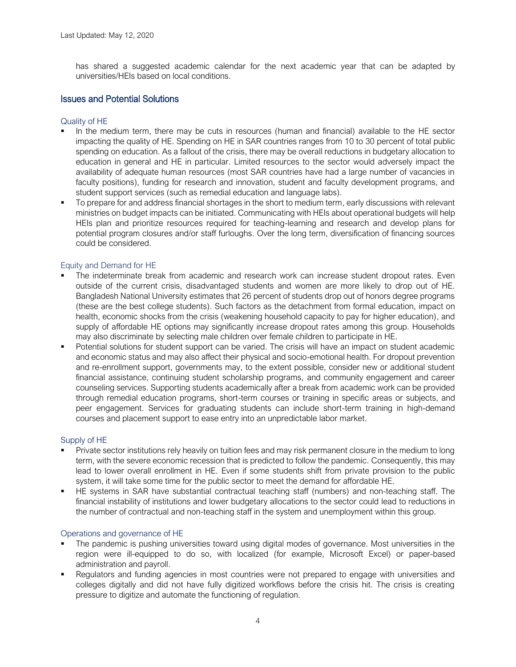has shared a suggested academic calendar for the next academic year that can be adapted by universities/HEIs based on local conditions.

## Issues and Potential Solutions

#### Quality of HE

- In the medium term, there may be cuts in resources (human and financial) available to the HE sector impacting the quality of HE. Spending on HE in SAR countries ranges from 10 to 30 percent of total public spending on education. As a fallout of the crisis, there may be overall reductions in budgetary allocation to education in general and HE in particular. Limited resources to the sector would adversely impact the availability of adequate human resources (most SAR countries have had a large number of vacancies in faculty positions), funding for research and innovation, student and faculty development programs, and student support services (such as remedial education and language labs).
- To prepare for and address financial shortages in the short to medium term, early discussions with relevant ministries on budget impacts can be initiated. Communicating with HEIs about operational budgets will help HEIs plan and prioritize resources required for teaching-learning and research and develop plans for potential program closures and/or staff furloughs. Over the long term, diversification of financing sources could be considered.

## Equity and Demand for HE

- The indeterminate break from academic and research work can increase student dropout rates. Even outside of the current crisis, disadvantaged students and women are more likely to drop out of HE. Bangladesh National University estimates that 26 percent of students drop out of honors degree programs (these are the best college students). Such factors as the detachment from formal education, impact on health, economic shocks from the crisis (weakening household capacity to pay for higher education), and supply of affordable HE options may significantly increase dropout rates among this group. Households may also discriminate by selecting male children over female children to participate in HE.
- Potential solutions for student support can be varied. The crisis will have an impact on student academic and economic status and may also affect their physical and socio-emotional health. For dropout prevention and re-enrollment support, governments may, to the extent possible, consider new or additional student financial assistance, continuing student scholarship programs, and community engagement and career counseling services. Supporting students academically after a break from academic work can be provided through remedial education programs, short-term courses or training in specific areas or subjects, and peer engagement. Services for graduating students can include short-term training in high-demand courses and placement support to ease entry into an unpredictable labor market.

## Supply of HE

- Private sector institutions rely heavily on tuition fees and may risk permanent closure in the medium to long term, with the severe economic recession that is predicted to follow the pandemic. Consequently, this may lead to lower overall enrollment in HE. Even if some students shift from private provision to the public system, it will take some time for the public sector to meet the demand for affordable HE.
- HE systems in SAR have substantial contractual teaching staff (numbers) and non-teaching staff. The financial instability of institutions and lower budgetary allocations to the sector could lead to reductions in the number of contractual and non-teaching staff in the system and unemployment within this group.

#### Operations and governance of HE

- The pandemic is pushing universities toward using digital modes of governance. Most universities in the region were ill-equipped to do so, with localized (for example, Microsoft Excel) or paper-based administration and payroll.
- Regulators and funding agencies in most countries were not prepared to engage with universities and colleges digitally and did not have fully digitized workflows before the crisis hit. The crisis is creating pressure to digitize and automate the functioning of regulation.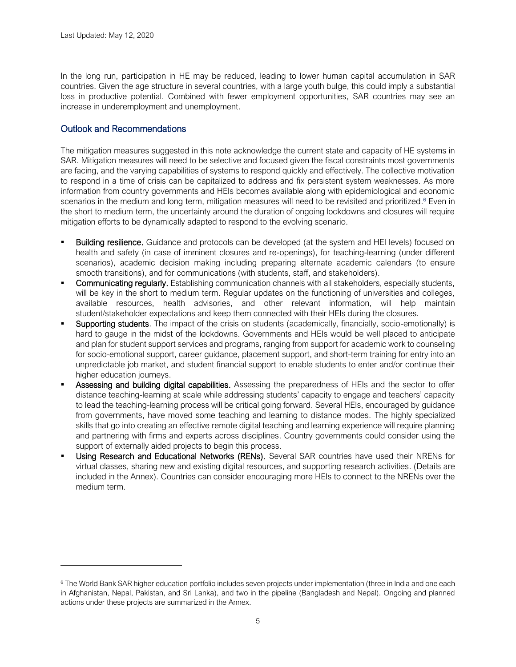In the long run, participation in HE may be reduced, leading to lower human capital accumulation in SAR countries. Given the age structure in several countries, with a large youth bulge, this could imply a substantial loss in productive potential. Combined with fewer employment opportunities, SAR countries may see an increase in underemployment and unemployment.

## Outlook and Recommendations

The mitigation measures suggested in this note acknowledge the current state and capacity of HE systems in SAR. Mitigation measures will need to be selective and focused given the fiscal constraints most governments are facing, and the varying capabilities of systems to respond quickly and effectively. The collective motivation to respond in a time of crisis can be capitalized to address and fix persistent system weaknesses. As more information from country governments and HEIs becomes available along with epidemiological and economic scenarios in the medium and long term, mitigation measures will need to be revisited and prioritized.<sup>6</sup> Even in the short to medium term, the uncertainty around the duration of ongoing lockdowns and closures will require mitigation efforts to be dynamically adapted to respond to the evolving scenario.

- **Building resilience.** Guidance and protocols can be developed (at the system and HEI levels) focused on health and safety (in case of imminent closures and re-openings), for teaching-learning (under different scenarios), academic decision making including preparing alternate academic calendars (to ensure smooth transitions), and for communications (with students, staff, and stakeholders).
- Communicating regularly. Establishing communication channels with all stakeholders, especially students, will be key in the short to medium term. Regular updates on the functioning of universities and colleges, available resources, health advisories, and other relevant information, will help maintain student/stakeholder expectations and keep them connected with their HEIs during the closures.
- Supporting students. The impact of the crisis on students (academically, financially, socio-emotionally) is hard to gauge in the midst of the lockdowns. Governments and HEIs would be well placed to anticipate and plan for student support services and programs, ranging from support for academic work to counseling for socio-emotional support, career guidance, placement support, and short-term training for entry into an unpredictable job market, and student financial support to enable students to enter and/or continue their higher education journeys.
- Assessing and building digital capabilities. Assessing the preparedness of HEIs and the sector to offer distance teaching-learning at scale while addressing students' capacity to engage and teachers' capacity to lead the teaching-learning process will be critical going forward. Several HEIs, encouraged by guidance from governments, have moved some teaching and learning to distance modes. The highly specialized skills that go into creating an effective remote digital teaching and learning experience will require planning and partnering with firms and experts across disciplines. Country governments could consider using the support of externally aided projects to begin this process.
- Using Research and Educational Networks (RENs). Several SAR countries have used their NRENs for virtual classes, sharing new and existing digital resources, and supporting research activities. (Details are included in the Annex). Countries can consider encouraging more HEIs to connect to the NRENs over the medium term.

<sup>&</sup>lt;sup>6</sup> The World Bank SAR higher education portfolio includes seven projects under implementation (three in India and one each in Afghanistan, Nepal, Pakistan, and Sri Lanka), and two in the pipeline (Bangladesh and Nepal). Ongoing and planned actions under these projects are summarized in the Annex.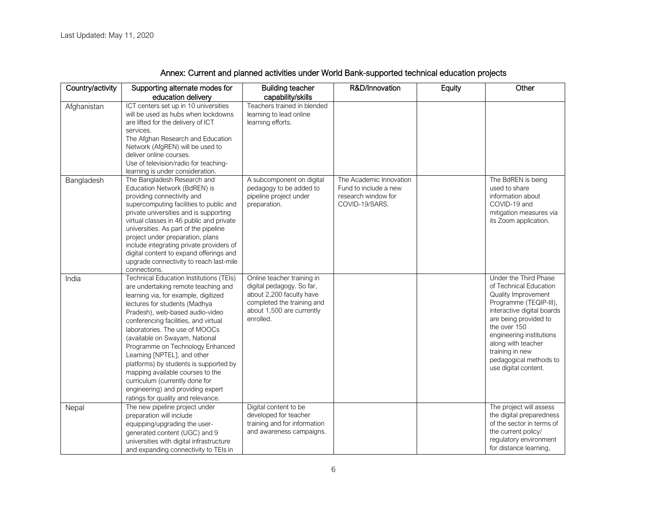| Country/activity | Supporting alternate modes for<br>education delivery                                                                                                                                                                                                                                                                                                                                                                                                                                                                                                                        | <b>Building teacher</b><br>capability/skills                                                                                                                | R&D/Innovation                                                                            | Equity | Other                                                                                                                                                                                                                                                                                          |
|------------------|-----------------------------------------------------------------------------------------------------------------------------------------------------------------------------------------------------------------------------------------------------------------------------------------------------------------------------------------------------------------------------------------------------------------------------------------------------------------------------------------------------------------------------------------------------------------------------|-------------------------------------------------------------------------------------------------------------------------------------------------------------|-------------------------------------------------------------------------------------------|--------|------------------------------------------------------------------------------------------------------------------------------------------------------------------------------------------------------------------------------------------------------------------------------------------------|
| Afghanistan      | ICT centers set up in 10 universities<br>will be used as hubs when lockdowns<br>are lifted for the delivery of ICT<br>services.<br>The Afghan Research and Education<br>Network (AfgREN) will be used to<br>deliver online courses.<br>Use of television/radio for teaching-<br>learning is under consideration.                                                                                                                                                                                                                                                            | Teachers trained in blended<br>learning to lead online<br>learning efforts.                                                                                 |                                                                                           |        |                                                                                                                                                                                                                                                                                                |
| Bangladesh       | The Bangladesh Research and<br>Education Network (BdREN) is<br>providing connectivity and<br>supercomputing facilities to public and<br>private universities and is supporting<br>virtual classes in 46 public and private<br>universities. As part of the pipeline<br>project under preparation, plans<br>include integrating private providers of<br>digital content to expand offerings and<br>upgrade connectivity to reach last-mile<br>connections.                                                                                                                   | A subcomponent on digital<br>pedagogy to be added to<br>pipeline project under<br>preparation.                                                              | The Academic Innovation<br>Fund to include a new<br>research window for<br>COVID-19/SARS. |        | The BdREN is being<br>used to share<br>information about<br>COVID-19 and<br>mitigation measures via<br>its Zoom application.                                                                                                                                                                   |
| India            | <b>Technical Education Institutions (TEIs)</b><br>are undertaking remote teaching and<br>learning via, for example, digitized<br>lectures for students (Madhya<br>Pradesh), web-based audio-video<br>conferencing facilities, and virtual<br>laboratories. The use of MOOCs<br>(available on Swayam, National<br>Programme on Technology Enhanced<br>Learning [NPTEL], and other<br>platforms) by students is supported by<br>mapping available courses to the<br>curriculum (currently done for<br>engineering) and providing expert<br>ratings for quality and relevance. | Online teacher training in<br>digital pedagogy. So far,<br>about 2,200 faculty have<br>completed the training and<br>about 1,500 are currently<br>enrolled. |                                                                                           |        | Under the Third Phase<br>of Technical Education<br>Quality Improvement<br>Programme (TEQIP-III),<br>interactive digital boards<br>are being provided to<br>the over 150<br>engineering institutions<br>along with teacher<br>training in new<br>pedagogical methods to<br>use digital content. |
| Nepal            | The new pipeline project under<br>preparation will include<br>equipping/upgrading the user-<br>generated content (UGC) and 9<br>universities with digital infrastructure<br>and expanding connectivity to TEIs in                                                                                                                                                                                                                                                                                                                                                           | Digital content to be<br>developed for teacher<br>training and for information<br>and awareness campaigns.                                                  |                                                                                           |        | The project will assess<br>the digital preparedness<br>of the sector in terms of<br>the current policy/<br>regulatory environment<br>for distance learning,                                                                                                                                    |

## Annex: Current and planned activities under World Bank-supported technical education projects